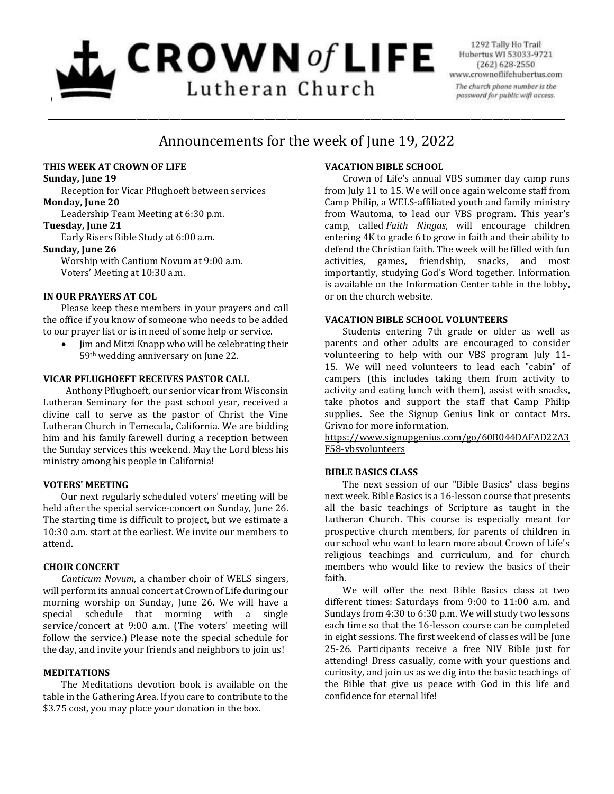# $L$  CROWN of LIFE Lutheran Church *!*

1292 Tally Ho Trail Hubertus WI 53033-9721 (262) 628-2550 www.crownoflifehubertus.com The church phone number is the password for public wifi access.

# Announcements for the week of June 19, 2022

\_\_\_\_\_\_\_\_\_\_\_\_\_\_\_\_\_\_\_\_\_\_\_\_\_\_\_\_\_\_\_\_\_\_\_\_\_\_\_\_\_\_\_\_\_\_\_\_\_\_\_\_\_\_\_\_\_\_\_\_\_\_\_\_\_\_\_\_\_\_\_\_\_\_\_\_\_\_\_\_\_\_\_\_\_\_\_\_\_\_\_\_\_

# **THIS WEEK AT CROWN OF LIFE**

#### **Sunday, June 19**

Reception for Vicar Pflughoeft between services **Monday, June 20**

Leadership Team Meeting at 6:30 p.m.

# **Tuesday, June 21**

Early Risers Bible Study at 6:00 a.m.

# **Sunday, June 26**

Worship with Cantium Novum at 9:00 a.m. Voters' Meeting at 10:30 a.m.

# **IN OUR PRAYERS AT COL**

Please keep these members in your prayers and call the office if you know of someone who needs to be added to our prayer list or is in need of some help or service.

• Iim and Mitzi Knapp who will be celebrating their 59th wedding anniversary on June 22.

# **VICAR PFLUGHOEFT RECEIVES PASTOR CALL**

Anthony Pflughoeft, our senior vicar from Wisconsin Lutheran Seminary for the past school year, received a divine call to serve as the pastor of Christ the Vine Lutheran Church in Temecula, California. We are bidding him and his family farewell during a reception between the Sunday services this weekend. May the Lord bless his ministry among his people in California!

# **VOTERS' MEETING**

Our next regularly scheduled voters' meeting will be held after the special service-concert on Sunday, June 26. The starting time is difficult to project, but we estimate a 10:30 a.m. start at the earliest. We invite our members to attend.

# **CHOIR CONCERT**

*Canticum Novum*, a chamber choir of WELS singers, will perform its annual concert at Crown of Life during our morning worship on Sunday, June 26. We will have a special schedule that morning with a single service/concert at 9:00 a.m. (The voters' meeting will follow the service.) Please note the special schedule for the day, and invite your friends and neighbors to join us!

# **MEDITATIONS**

The Meditations devotion book is available on the table in the Gathering Area. If you care to contribute to the \$3.75 cost, you may place your donation in the box.

# **VACATION BIBLE SCHOOL**

Crown of Life's annual VBS summer day camp runs from July 11 to 15. We will once again welcome staff from Camp Philip, a WELS-affiliated youth and family ministry from Wautoma, to lead our VBS program. This year's camp, called *Faith Ningas*, will encourage children entering 4K to grade 6 to grow in faith and their ability to defend the Christian faith. The week will be filled with fun activities, games, friendship, snacks, and most importantly, studying God's Word together. Information is available on the Information Center table in the lobby, or on the church website.

# **VACATION BIBLE SCHOOL VOLUNTEERS**

Students entering 7th grade or older as well as parents and other adults are encouraged to consider volunteering to help with our VBS program July 11- 15. We will need volunteers to lead each "cabin" of campers (this includes taking them from activity to activity and eating lunch with them), assist with snacks, take photos and support the staff that Camp Philip supplies. See the Signup Genius link or contact Mrs. Grivno for more information.

[https://www.signupgenius.com/go/60B044DAFAD22A3](https://www.signupgenius.com/go/60B044DAFAD22A3F58-vbsvolunteers) [F58-vbsvolunteers](https://www.signupgenius.com/go/60B044DAFAD22A3F58-vbsvolunteers)

# **BIBLE BASICS CLASS**

The next session of our "Bible Basics" class begins next week. Bible Basics is a 16-lesson course that presents all the basic teachings of Scripture as taught in the Lutheran Church. This course is especially meant for prospective church members, for parents of children in our school who want to learn more about Crown of Life's religious teachings and curriculum, and for church members who would like to review the basics of their faith.

We will offer the next Bible Basics class at two different times: Saturdays from 9:00 to 11:00 a.m. and Sundays from 4:30 to 6:30 p.m. We will study two lessons each time so that the 16-lesson course can be completed in eight sessions. The first weekend of classes will be June 25-26. Participants receive a free NIV Bible just for attending! Dress casually, come with your questions and curiosity, and join us as we dig into the basic teachings of the Bible that give us peace with God in this life and confidence for eternal life!